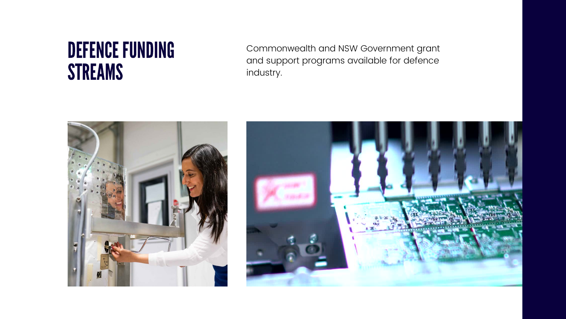Commonwealth and NSW Government grant and support programs available for defence industry.





# DEFENCE FUNDING STREAMS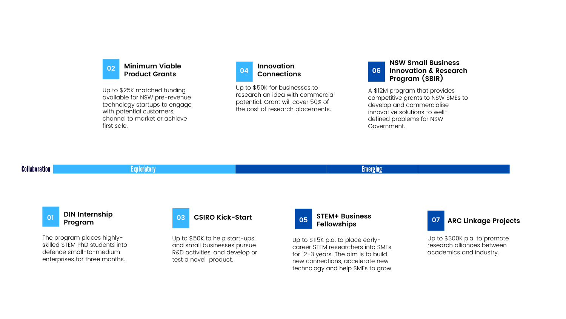### **[DIN Internship](https://defenceinnovationnetwork.com/din-internship-program/) Program**

The program places highlyskilled STEM PhD students into defence small-to-medium enterprises for three months.



Up to \$50K for businesses to research an idea with commercial potential. Grant will cover 50% of the cost of research placements.

### Collaboration **Exploratory Exploratory Exploratory (Exploration** Exploration Emerging Emerging

Up to \$50K to help start-ups and small businesses pursue R&D activities, and develop or test a novel product.

# **[CSIRO Kick-Start](https://www.csiro.au/en/work-with-us/funding-programs/funding/Funding-finder/Kick-Start) 03 [STEM+ Business](https://sief.org.au/csiro-gift/promotion-of-science/stembusiness-fellowship-program/)**



### **02 [Minimum Viable](https://www.nsw.gov.au/working-and-business/support-for-startups/minimum-viable-product-grants) Product Grants**

### **Innovation [Connections](https://business.gov.au/grants-and-programs/innovation-connections) 04**

### **Fellowships 05 07**

Up to \$115K p.a. to place earlycareer STEM researchers into SMEs for 2-3 years. The aim is to build new connections, accelerate new technology and help SMEs to grow.

Up to \$25K matched funding available for NSW pre-revenue technology startups to engage with potential customers, channel to market or achieve first sale.

### **NSW Small Business [Innovation & Research](https://www.chiefscientist.nsw.gov.au/funding/research-and-development/small-business-innovation-research-program) Program (SBIR) 06**

A \$12M program that provides competitive grants to NSW SMEs to develop and commercialise innovative solutions to welldefined problems for NSW Government.

Up to \$300K p.a. to promote research alliances between academics and industry.

# **[ARC Linkage Projects](https://www.arc.gov.au/grants/linkage-program/linkage-projects)**